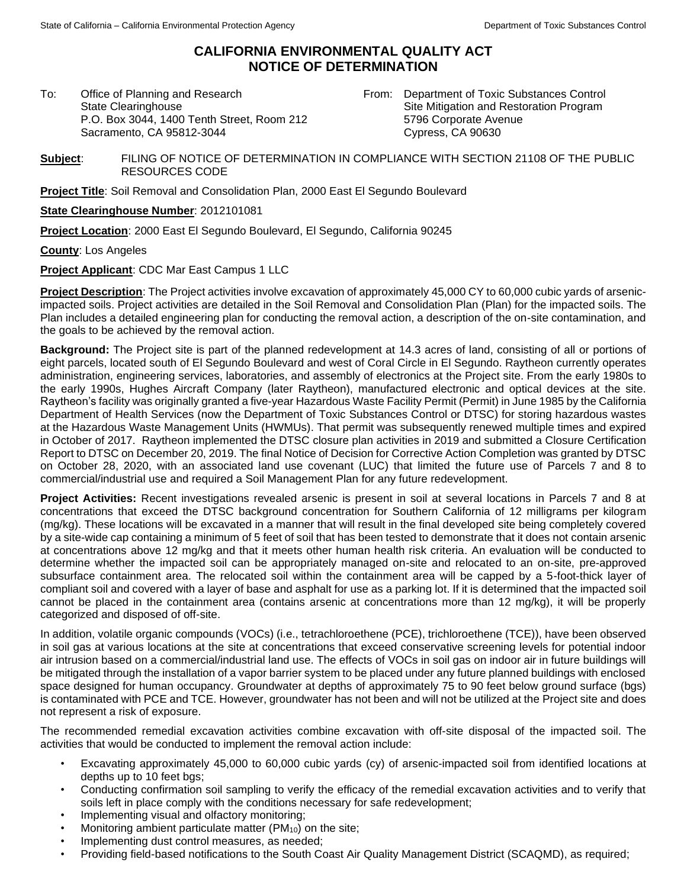## **CALIFORNIA ENVIRONMENTAL QUALITY ACT NOTICE OF DETERMINATION**

To: Office of Planning and Research State Clearinghouse P.O. Box 3044, 1400 Tenth Street, Room 212 Sacramento, CA 95812-3044

From: Department of Toxic Substances Control Site Mitigation and Restoration Program 5796 Corporate Avenue Cypress, CA 90630

**Subject**: FILING OF NOTICE OF DETERMINATION IN COMPLIANCE WITH SECTION 21108 OF THE PUBLIC RESOURCES CODE

**Project Title**: Soil Removal and Consolidation Plan, 2000 East El Segundo Boulevard

**State Clearinghouse Number**: 2012101081

**Project Location**: 2000 East El Segundo Boulevard, El Segundo, California 90245

**County**: Los Angeles

**Project Applicant**: CDC Mar East Campus 1 LLC

**Project Description**: The Project activities involve excavation of approximately 45,000 CY to 60,000 cubic yards of arsenicimpacted soils. Project activities are detailed in the Soil Removal and Consolidation Plan (Plan) for the impacted soils. The Plan includes a detailed engineering plan for conducting the removal action, a description of the on-site contamination, and the goals to be achieved by the removal action.

**Background:** The Project site is part of the planned redevelopment at 14.3 acres of land, consisting of all or portions of eight parcels, located south of El Segundo Boulevard and west of Coral Circle in El Segundo. Raytheon currently operates administration, engineering services, laboratories, and assembly of electronics at the Project site. From the early 1980s to the early 1990s, Hughes Aircraft Company (later Raytheon), manufactured electronic and optical devices at the site. Raytheon's facility was originally granted a five-year Hazardous Waste Facility Permit (Permit) in June 1985 by the California Department of Health Services (now the Department of Toxic Substances Control or DTSC) for storing hazardous wastes at the Hazardous Waste Management Units (HWMUs). That permit was subsequently renewed multiple times and expired in October of 2017. Raytheon implemented the DTSC closure plan activities in 2019 and submitted a Closure Certification Report to DTSC on December 20, 2019. The final Notice of Decision for Corrective Action Completion was granted by DTSC on October 28, 2020, with an associated land use covenant (LUC) that limited the future use of Parcels 7 and 8 to commercial/industrial use and required a Soil Management Plan for any future redevelopment.

**Project Activities:** Recent investigations revealed arsenic is present in soil at several locations in Parcels 7 and 8 at concentrations that exceed the DTSC background concentration for Southern California of 12 milligrams per kilogram (mg/kg). These locations will be excavated in a manner that will result in the final developed site being completely covered by a site-wide cap containing a minimum of 5 feet of soil that has been tested to demonstrate that it does not contain arsenic at concentrations above 12 mg/kg and that it meets other human health risk criteria. An evaluation will be conducted to determine whether the impacted soil can be appropriately managed on-site and relocated to an on-site, pre-approved subsurface containment area. The relocated soil within the containment area will be capped by a 5-foot-thick layer of compliant soil and covered with a layer of base and asphalt for use as a parking lot. If it is determined that the impacted soil cannot be placed in the containment area (contains arsenic at concentrations more than 12 mg/kg), it will be properly categorized and disposed of off-site.

In addition, volatile organic compounds (VOCs) (i.e., tetrachloroethene (PCE), trichloroethene (TCE)), have been observed in soil gas at various locations at the site at concentrations that exceed conservative screening levels for potential indoor air intrusion based on a commercial/industrial land use. The effects of VOCs in soil gas on indoor air in future buildings will be mitigated through the installation of a vapor barrier system to be placed under any future planned buildings with enclosed space designed for human occupancy. Groundwater at depths of approximately 75 to 90 feet below ground surface (bgs) is contaminated with PCE and TCE. However, groundwater has not been and will not be utilized at the Project site and does not represent a risk of exposure.

The recommended remedial excavation activities combine excavation with off-site disposal of the impacted soil. The activities that would be conducted to implement the removal action include:

- Excavating approximately 45,000 to 60,000 cubic yards (cy) of arsenic-impacted soil from identified locations at depths up to 10 feet bgs;
- Conducting confirmation soil sampling to verify the efficacy of the remedial excavation activities and to verify that soils left in place comply with the conditions necessary for safe redevelopment;
- Implementing visual and olfactory monitoring;
- Monitoring ambient particulate matter (PM<sub>10</sub>) on the site;
- Implementing dust control measures, as needed;
- Providing field-based notifications to the South Coast Air Quality Management District (SCAQMD), as required;